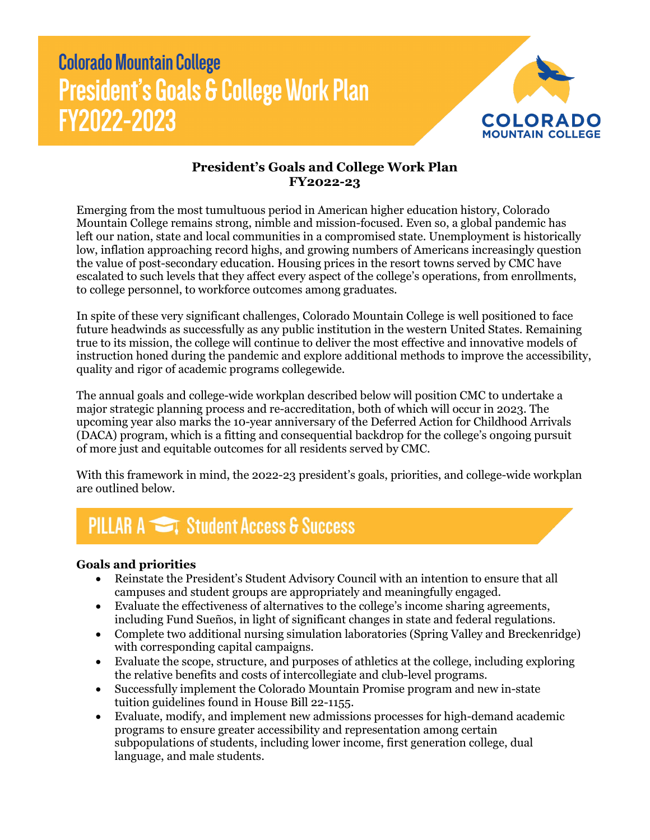# **Colorado Mountain College President's Goals & College Work Plan** FY2022-2023



### **President's Goals and College Work Plan FY2022-23**

Emerging from the most tumultuous period in American higher education history, Colorado Mountain College remains strong, nimble and mission-focused. Even so, a global pandemic has left our nation, state and local communities in a compromised state. Unemployment is historically low, inflation approaching record highs, and growing numbers of Americans increasingly question the value of post-secondary education. Housing prices in the resort towns served by CMC have escalated to such levels that they affect every aspect of the college's operations, from enrollments, to college personnel, to workforce outcomes among graduates.

In spite of these very significant challenges, Colorado Mountain College is well positioned to face future headwinds as successfully as any public institution in the western United States. Remaining true to its mission, the college will continue to deliver the most effective and innovative models of instruction honed during the pandemic and explore additional methods to improve the accessibility, quality and rigor of academic programs collegewide.

The annual goals and college-wide workplan described below will position CMC to undertake a major strategic planning process and re-accreditation, both of which will occur in 2023. The upcoming year also marks the 10-year anniversary of the Deferred Action for Childhood Arrivals (DACA) program, which is a fitting and consequential backdrop for the college's ongoing pursuit of more just and equitable outcomes for all residents served by CMC.

With this framework in mind, the 2022-23 president's goals, priorities, and college-wide workplan are outlined below.

## **PILLAR A Student Access & Success**

#### **Goals and priorities**

- Reinstate the President's Student Advisory Council with an intention to ensure that all campuses and student groups are appropriately and meaningfully engaged.
- Evaluate the effectiveness of alternatives to the college's income sharing agreements, including Fund Sueños, in light of significant changes in state and federal regulations.
- Complete two additional nursing simulation laboratories (Spring Valley and Breckenridge) with corresponding capital campaigns.
- Evaluate the scope, structure, and purposes of athletics at the college, including exploring the relative benefits and costs of intercollegiate and club-level programs.
- Successfully implement the Colorado Mountain Promise program and new in-state tuition guidelines found in House Bill 22-1155.
- Evaluate, modify, and implement new admissions processes for high-demand academic programs to ensure greater accessibility and representation among certain subpopulations of students, including lower income, first generation college, dual language, and male students.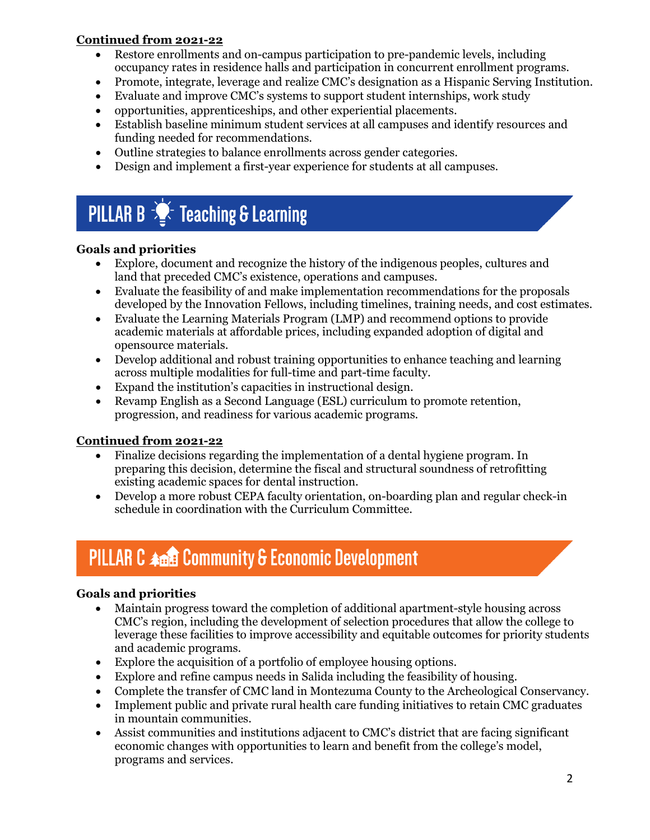#### **Continued from 2021-22**

- Restore enrollments and on-campus participation to pre-pandemic levels, including occupancy rates in residence halls and participation in concurrent enrollment programs.
- Promote, integrate, leverage and realize CMC's designation as a Hispanic Serving Institution.
- Evaluate and improve CMC's systems to support student internships, work study
- opportunities, apprenticeships, and other experiential placements.
- Establish baseline minimum student services at all campuses and identify resources and funding needed for recommendations.
- Outline strategies to balance enrollments across gender categories.
- Design and implement a first-year experience for students at all campuses.

# **PILLAR B**  $\frac{1}{2}$  Teaching & Learning

#### **Goals and priorities**

- Explore, document and recognize the history of the indigenous peoples, cultures and land that preceded CMC's existence, operations and campuses.
- Evaluate the feasibility of and make implementation recommendations for the proposals developed by the Innovation Fellows, including timelines, training needs, and cost estimates.
- Evaluate the Learning Materials Program (LMP) and recommend options to provide academic materials at affordable prices, including expanded adoption of digital and opensource materials.
- Develop additional and robust training opportunities to enhance teaching and learning across multiple modalities for full-time and part-time faculty.
- Expand the institution's capacities in instructional design.
- Revamp English as a Second Language (ESL) curriculum to promote retention, progression, and readiness for various academic programs.

#### **Continued from 2021-22**

- Finalize decisions regarding the implementation of a dental hygiene program. In preparing this decision, determine the fiscal and structural soundness of retrofitting existing academic spaces for dental instruction.
- Develop a more robust CEPA faculty orientation, on-boarding plan and regular check-in schedule in coordination with the Curriculum Committee.

## **PILLAR C 400 Community & Economic Development**

### **Goals and priorities**

- Maintain progress toward the completion of additional apartment-style housing across CMC's region, including the development of selection procedures that allow the college to leverage these facilities to improve accessibility and equitable outcomes for priority students and academic programs.
- Explore the acquisition of a portfolio of employee housing options.
- Explore and refine campus needs in Salida including the feasibility of housing.
- Complete the transfer of CMC land in Montezuma County to the Archeological Conservancy.
- Implement public and private rural health care funding initiatives to retain CMC graduates in mountain communities.
- Assist communities and institutions adjacent to CMC's district that are facing significant economic changes with opportunities to learn and benefit from the college's model, programs and services.